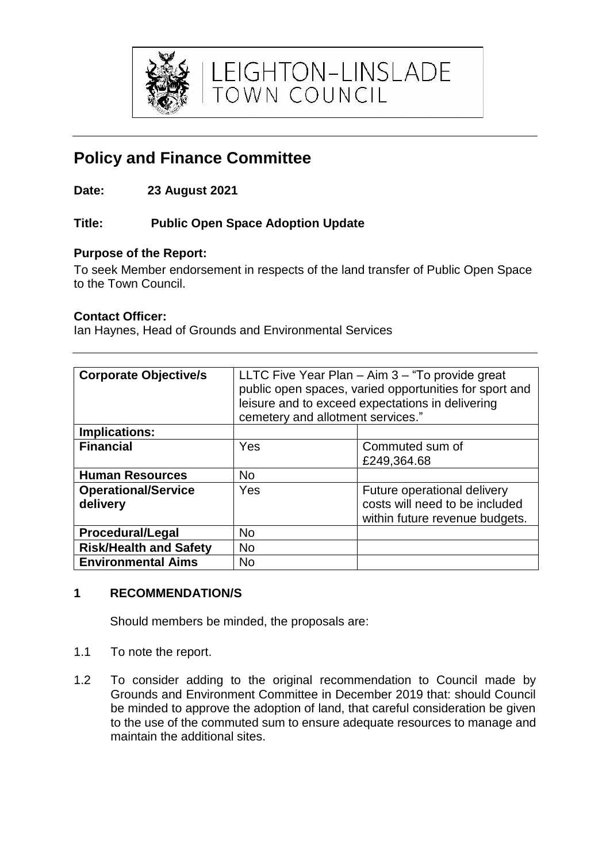

LEIGHTON-LINSLADE<br>town council

# **Policy and Finance Committee**

**Date: 23 August 2021**

# **Title: Public Open Space Adoption Update**

#### **Purpose of the Report:**

To seek Member endorsement in respects of the land transfer of Public Open Space to the Town Council.

#### **Contact Officer:**

Ian Haynes, Head of Grounds and Environmental Services

| <b>Corporate Objective/s</b>           | LLTC Five Year Plan $-$ Aim $3 -$ "To provide great<br>public open spaces, varied opportunities for sport and<br>leisure and to exceed expectations in delivering<br>cemetery and allotment services." |                                                                                                 |
|----------------------------------------|--------------------------------------------------------------------------------------------------------------------------------------------------------------------------------------------------------|-------------------------------------------------------------------------------------------------|
| <b>Implications:</b>                   |                                                                                                                                                                                                        |                                                                                                 |
| <b>Financial</b>                       | Yes                                                                                                                                                                                                    | Commuted sum of<br>£249,364.68                                                                  |
| <b>Human Resources</b>                 | <b>No</b>                                                                                                                                                                                              |                                                                                                 |
| <b>Operational/Service</b><br>delivery | Yes                                                                                                                                                                                                    | Future operational delivery<br>costs will need to be included<br>within future revenue budgets. |
| <b>Procedural/Legal</b>                | <b>No</b>                                                                                                                                                                                              |                                                                                                 |
| <b>Risk/Health and Safety</b>          | <b>No</b>                                                                                                                                                                                              |                                                                                                 |
| <b>Environmental Aims</b>              | <b>No</b>                                                                                                                                                                                              |                                                                                                 |

## **1 RECOMMENDATION/S**

Should members be minded, the proposals are:

- 1.1 To note the report.
- 1.2 To consider adding to the original recommendation to Council made by Grounds and Environment Committee in December 2019 that: should Council be minded to approve the adoption of land, that careful consideration be given to the use of the commuted sum to ensure adequate resources to manage and maintain the additional sites.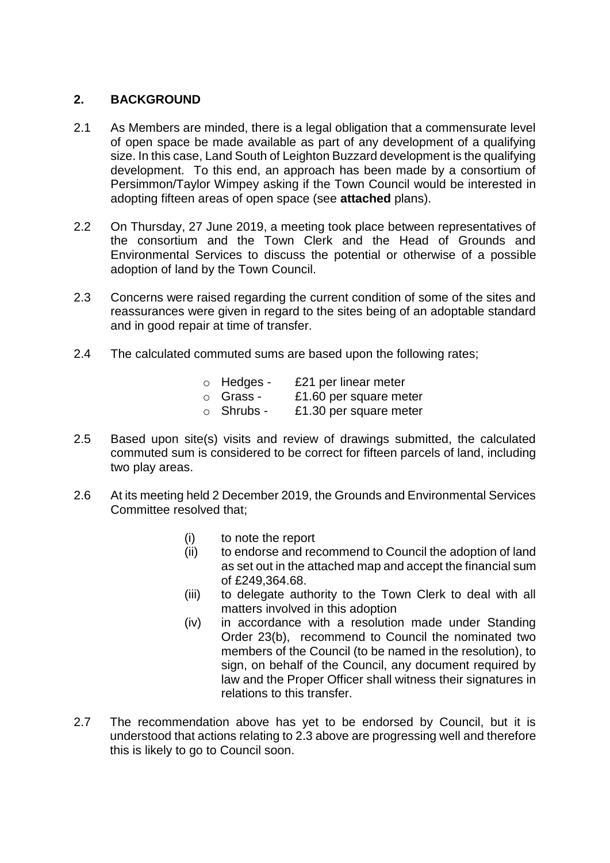#### **2. BACKGROUND**

- 2.1 As Members are minded, there is a legal obligation that a commensurate level of open space be made available as part of any development of a qualifying size. In this case, Land South of Leighton Buzzard development is the qualifying development. To this end, an approach has been made by a consortium of Persimmon/Taylor Wimpey asking if the Town Council would be interested in adopting fifteen areas of open space (see **attached** plans).
- 2.2 On Thursday, 27 June 2019, a meeting took place between representatives of the consortium and the Town Clerk and the Head of Grounds and Environmental Services to discuss the potential or otherwise of a possible adoption of land by the Town Council.
- 2.3 Concerns were raised regarding the current condition of some of the sites and reassurances were given in regard to the sites being of an adoptable standard and in good repair at time of transfer.
- 2.4 The calculated commuted sums are based upon the following rates;
	- o Hedges £21 per linear meter
	- o Grass £1.60 per square meter
	- $\circ$  Shrubs £1.30 per square meter
- 2.5 Based upon site(s) visits and review of drawings submitted, the calculated commuted sum is considered to be correct for fifteen parcels of land, including two play areas.
- 2.6 At its meeting held 2 December 2019, the Grounds and Environmental Services Committee resolved that;
	- (i) to note the report
	- (ii) to endorse and recommend to Council the adoption of land as set out in the attached map and accept the financial sum of £249,364.68.
	- (iii) to delegate authority to the Town Clerk to deal with all matters involved in this adoption
	- (iv) in accordance with a resolution made under Standing Order 23(b), recommend to Council the nominated two members of the Council (to be named in the resolution), to sign, on behalf of the Council, any document required by law and the Proper Officer shall witness their signatures in relations to this transfer.
- 2.7 The recommendation above has yet to be endorsed by Council, but it is understood that actions relating to 2.3 above are progressing well and therefore this is likely to go to Council soon.